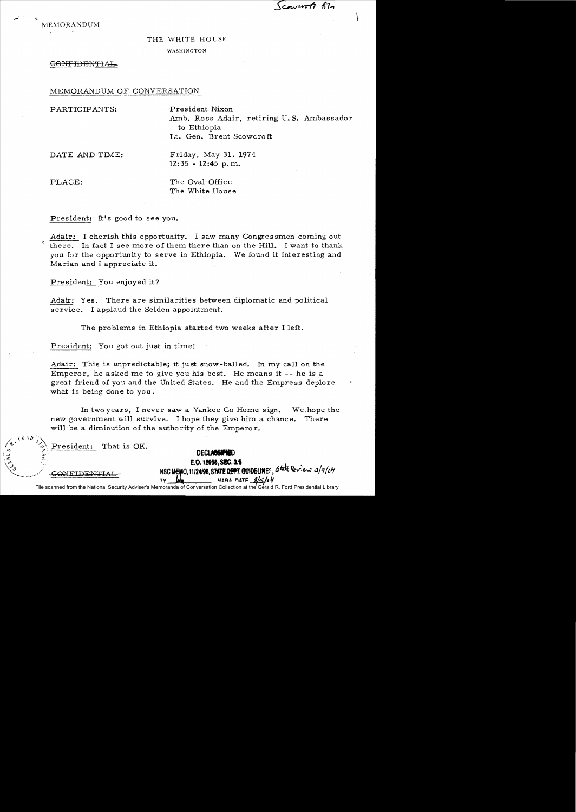$Genorotf$   $f1$ 

**MEMORANDUM** 

## THE WHITE HOUSE

## WASHINGTON

GONFIDENTIAL

## MEMORANDUM OF CONVERSATION

PARTICIPANTS: President Nixon

Amb. Ross Adair, retiring U. S. Ambassador to Ethiopia Lt. Gen. Brent Scowcroft

DATE AND TIME: Friday, May 31. 1974  $12:35 - 12:45$  p.m.

PLACE: The Oval Office The White House

President: It's good to see you.

Adair: I cherish this opportunity. I saw many Congressmen coming out there. In fact I see more of them there than on the Hill. I want to thank you for the opportunity to serve in Ethiopia. We found it interesting and Marian and I appreciate it.

President: You enjoyed it?

Adair: Yes. There are similarities between diplomatic and political service. I applaud the Selden appointment.

The problems in Ethiopia started two weeks after I left.

President: You got out just in time!

Adair: This is unpredictable; it ju st snow-balled. In my call on the Emperor, he asked me to give you his best. He means it -- he is a great friend of you and the United States. He and the Empress deplore what is being done to you.

In two years, I never saw a Yankee Go Home sign. We.hope the new government will survive. I hope they give him a chance. There will be a diminution of the authority of the Emperor.

President: That is OK. Q ~.------------

 $\mathsf{COMFIDENTHAL}$ 

 $0 \leq n$ 

p a.<br>.

E.O. 12958, SEC. 3.5 NSC MEMO, 11/24/98, STATE DEPT. GUIDELINES, State Review 3/9/04 NARA DATE S/5/04

**DECLABBIFIED** 

File scanned from the National Security Adviser's Memoranda of Conversation Collection at the Gerald R. Ford Presidential Library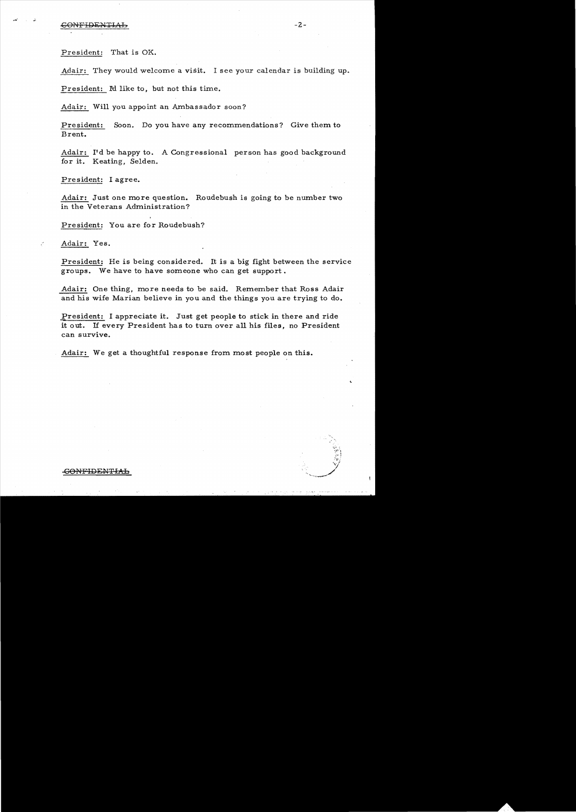## $-2$  -  $-2$  -

President: That is OK.

Adair: They would welcome a visit. I see your calendar is building up.

President: Id like to, but not this time.

Adair: Will you appoint an Ambassador soon?

President: Soon. Do you have any recommendations? Give them to Brent.

Adair: I'd be happy to. A Congressional person has good background for it. Keating, Selden.

President: I agree.

Adair: Just one more question. Roudebush is going to be number two in the Veterans Administration?

President: You are for Roudebush?

Adair: Yes.

President: He is being considered. It is a big fight between the service groups. We have to have someone who can get support.

Adair: One thing, more needs to be said. Remember that Ross Adair and his wife Marian believe in you and the things you are trying to do.

President: I appreciate it. Just get people to stick in there and ride it 0 ut. If every President ha s to turn over all his files, no President can survive.

Adair: We get a thoughtful response from most people on this.

*,'(J :*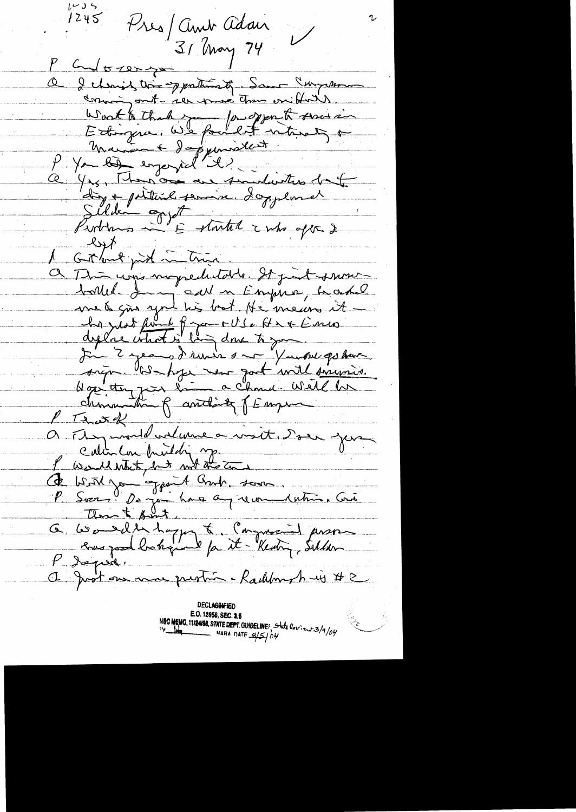しょり  $1245$ Tres/ amb adan  $\overline{1}$ 31 May 74 P God to zer you Q I changed the opportunity. Same Curry man comming ont- ser puis tom on forts Wort a that you found there is Silden ogytt<br>Purting in Estantil 2 mbs oft 2 left mit interest a This une momediatelle. It just summe met gis you his bot He meurs it be just fin le figure US. Hr & Emis In 2 years dernier son Yaubre po have P That of indume a voit. Don jou Calin Con bruidoing Ce With jou appoint Bruk, some than & point. G Wouldn't appel to Command proses P dopuse. a Just on non printé . Radilment is #2 **DECLASSIFIED** 

E.O. 12958, SEC. 3.5 NSC MEMO. 11/24/98, STATE DEPT. GUIDELINE: State Review 3/9/04